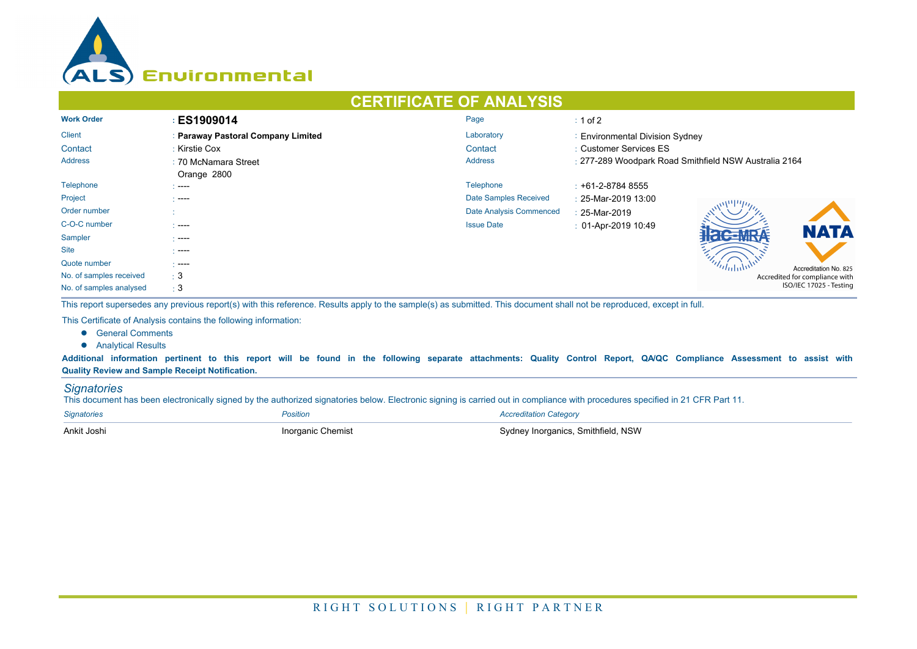

## **CERTIFICATE OF ANALYSIS**

| <b>Work Order</b>       | <b>ES1909014</b>                   | Page                         | $: 1$ of 2                                            |  |  |  |
|-------------------------|------------------------------------|------------------------------|-------------------------------------------------------|--|--|--|
| <b>Client</b>           | : Paraway Pastoral Company Limited | Laboratory                   | : Environmental Division Sydney                       |  |  |  |
| Contact                 | : Kirstie Cox                      | Contact                      | : Customer Services ES                                |  |  |  |
| Address                 | : 70 McNamara Street               | <b>Address</b>               | : 277-289 Woodpark Road Smithfield NSW Australia 2164 |  |  |  |
|                         | Orange 2800                        |                              |                                                       |  |  |  |
| Telephone               | .                                  | Telephone                    | $: +61 - 2 - 87848555$                                |  |  |  |
| Project                 | .                                  | <b>Date Samples Received</b> | : 25-Mar-2019 13:00                                   |  |  |  |
| Order number            |                                    | Date Analysis Commenced      | : 25-Mar-2019                                         |  |  |  |
| C-O-C number            | $\sim$ ----                        | <b>Issue Date</b>            | $: 01-Apr-201910:49$<br><b>NATA</b>                   |  |  |  |
| Sampler                 | $---$                              |                              | $\sim$ MDA                                            |  |  |  |
| <b>Site</b>             | -----                              |                              |                                                       |  |  |  |
| Quote number            | $\sim$ ----                        |                              | Accreditation No. 825                                 |  |  |  |
| No. of samples received | $\pm$ 3                            |                              | Accredited for compliance with                        |  |  |  |
| No. of samples analysed | $\pm$ 3                            |                              | ISO/IEC 17025 - Testing                               |  |  |  |

This report supersedes any previous report(s) with this reference. Results apply to the sample(s) as submitted. This document shall not be reproduced, except in full.

This Certificate of Analysis contains the following information:

- **e** General Comments
- **•** Analytical Results

Additional information pertinent to this report will be found in the following separate attachments: Quality Control Report, QA/QC Compliance Assessment to assist with **Quality Review and Sample Receipt Notification.**

## *Signatories*

This document has been electronically signed by the authorized signatories below. Electronic signing is carried out in compliance with procedures specified in 21 CFR Part 11.

| <b>Signatories</b> | Position          | <b>Accreditation Category</b>      |
|--------------------|-------------------|------------------------------------|
| Ankit Joshi        | Inorganic Chemist | Sydney Inorganics, Smithfield, NSW |